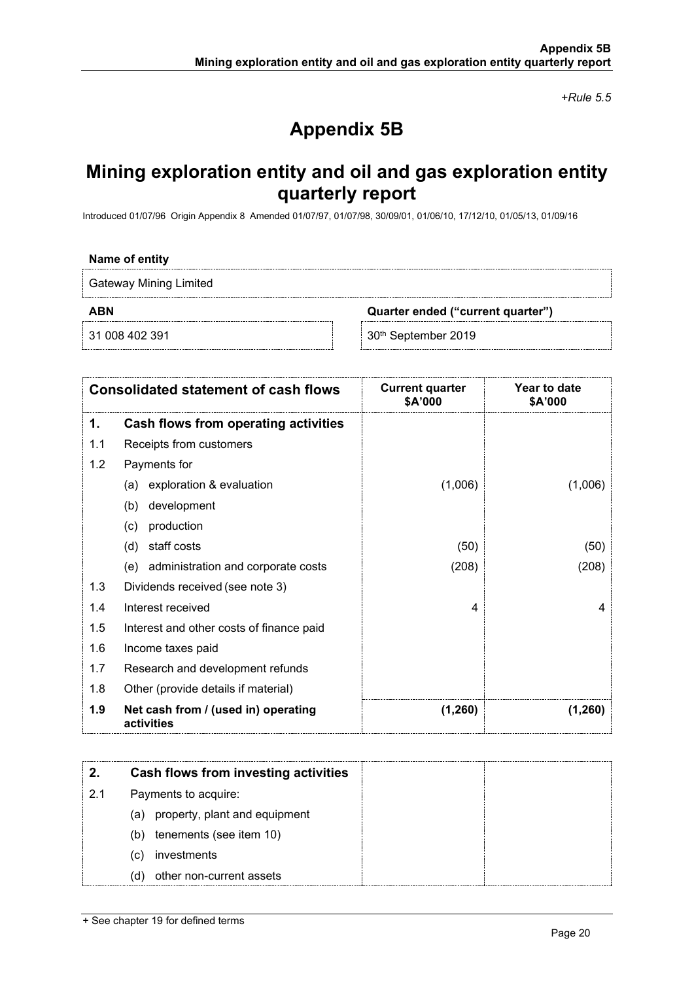*+Rule 5.5*

# **Appendix 5B**

## **Mining exploration entity and oil and gas exploration entity quarterly report**

Introduced 01/07/96 Origin Appendix 8 Amended 01/07/97, 01/07/98, 30/09/01, 01/06/10, 17/12/10, 01/05/13, 01/09/16

#### **Name of entity**

Gateway Mining Limited

**ABN Quarter ended ("current quarter")**

31 008 402 391 30<sup>th</sup> September 2019

| <b>Consolidated statement of cash flows</b> |                                                   | <b>Current quarter</b><br>\$A'000 | Year to date<br>\$A'000 |
|---------------------------------------------|---------------------------------------------------|-----------------------------------|-------------------------|
| 1.                                          | Cash flows from operating activities              |                                   |                         |
| 1.1                                         | Receipts from customers                           |                                   |                         |
| 1.2                                         | Payments for                                      |                                   |                         |
|                                             | exploration & evaluation<br>(a)                   | (1,006)                           | (1,006)                 |
|                                             | development<br>(b)                                |                                   |                         |
|                                             | production<br>(c)                                 |                                   |                         |
|                                             | staff costs<br>(d)                                | (50)                              | (50)                    |
|                                             | (e) administration and corporate costs            | (208)                             | (208)                   |
| 1.3                                         | Dividends received (see note 3)                   |                                   |                         |
| 1.4                                         | Interest received                                 | $\overline{4}$                    | 4                       |
| 1.5                                         | Interest and other costs of finance paid          |                                   |                         |
| 1.6                                         | Income taxes paid                                 |                                   |                         |
| 1.7                                         | Research and development refunds                  |                                   |                         |
| 1.8                                         | Other (provide details if material)               |                                   |                         |
| 1.9                                         | Net cash from / (used in) operating<br>activities | (1,260)                           | (1,260)                 |

|     | Cash flows from investing activities |
|-----|--------------------------------------|
| 2.1 | Payments to acquire:                 |
|     | (a) property, plant and equipment    |
|     | tenements (see item 10)<br>(b)       |
|     | investments<br>C)                    |
|     | other non-current assets<br>d)       |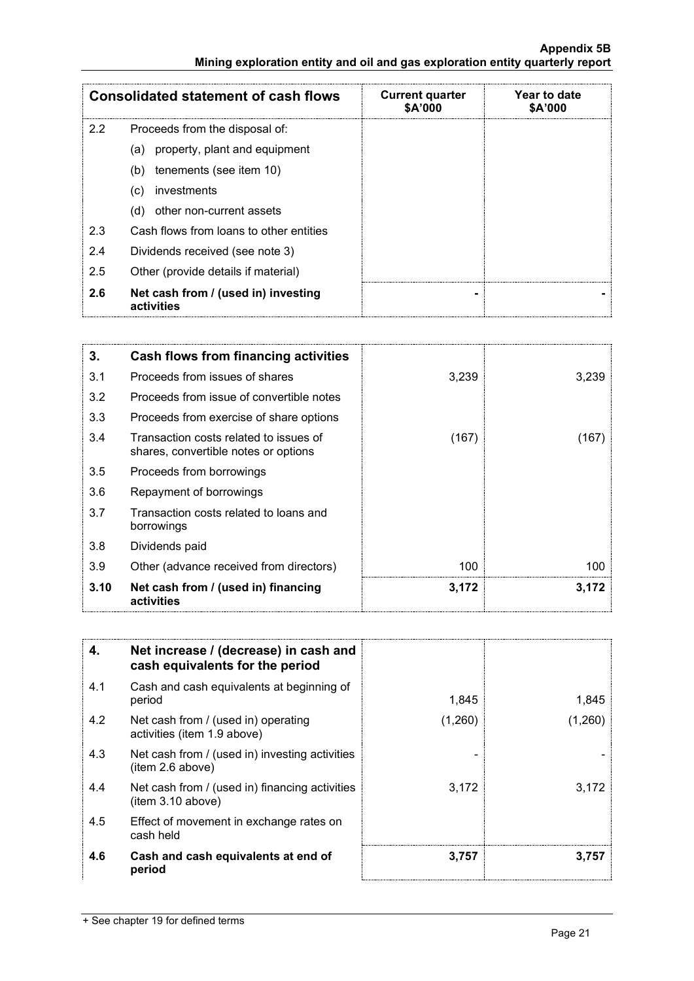#### **Appendix 5B Mining exploration entity and oil and gas exploration entity quarterly report**

| <b>Consolidated statement of cash flows</b> |                                                   | <b>Current quarter</b><br>\$A'000 | Year to date<br>\$A'000 |
|---------------------------------------------|---------------------------------------------------|-----------------------------------|-------------------------|
| 2.2                                         | Proceeds from the disposal of:                    |                                   |                         |
|                                             | (a) property, plant and equipment                 |                                   |                         |
|                                             | tenements (see item 10)<br>(b)                    |                                   |                         |
|                                             | investments<br>(C)                                |                                   |                         |
|                                             | other non-current assets<br>(d)                   |                                   |                         |
| 2.3                                         | Cash flows from loans to other entities           |                                   |                         |
| 2.4                                         | Dividends received (see note 3)                   |                                   |                         |
| 2.5                                         | Other (provide details if material)               |                                   |                         |
| 2.6                                         | Net cash from / (used in) investing<br>activities |                                   |                         |

| 3.   | Cash flows from financing activities                                           |       |       |
|------|--------------------------------------------------------------------------------|-------|-------|
| 3.1  | Proceeds from issues of shares                                                 | 3,239 | 3,239 |
| 3.2  | Proceeds from issue of convertible notes                                       |       |       |
| 3.3  | Proceeds from exercise of share options                                        |       |       |
| 3.4  | Transaction costs related to issues of<br>shares, convertible notes or options | (167) | 167   |
| 3.5  | Proceeds from borrowings                                                       |       |       |
| 3.6  | Repayment of borrowings                                                        |       |       |
| 3.7  | Transaction costs related to loans and<br>borrowings                           |       |       |
| 3.8  | Dividends paid                                                                 |       |       |
| 3.9  | Other (advance received from directors)                                        | 100   | 100   |
| 3.10 | Net cash from / (used in) financing<br>activities                              | 3,172 | 3.172 |

| 4.  | Net increase / (decrease) in cash and<br>cash equivalents for the period |         |        |
|-----|--------------------------------------------------------------------------|---------|--------|
| 4.1 | Cash and cash equivalents at beginning of<br>period                      | 1,845   | 1,845  |
| 4.2 | Net cash from / (used in) operating<br>activities (item 1.9 above)       | (1,260) | (1.260 |
| 4.3 | Net cash from / (used in) investing activities<br>(item 2.6 above)       |         |        |
| 4.4 | Net cash from / (used in) financing activities<br>(item 3.10 above)      | 3,172   | 3.172  |
| 4.5 | Effect of movement in exchange rates on<br>cash held                     |         |        |
| 4.6 | Cash and cash equivalents at end of<br>period                            | 3,757   | 3.757  |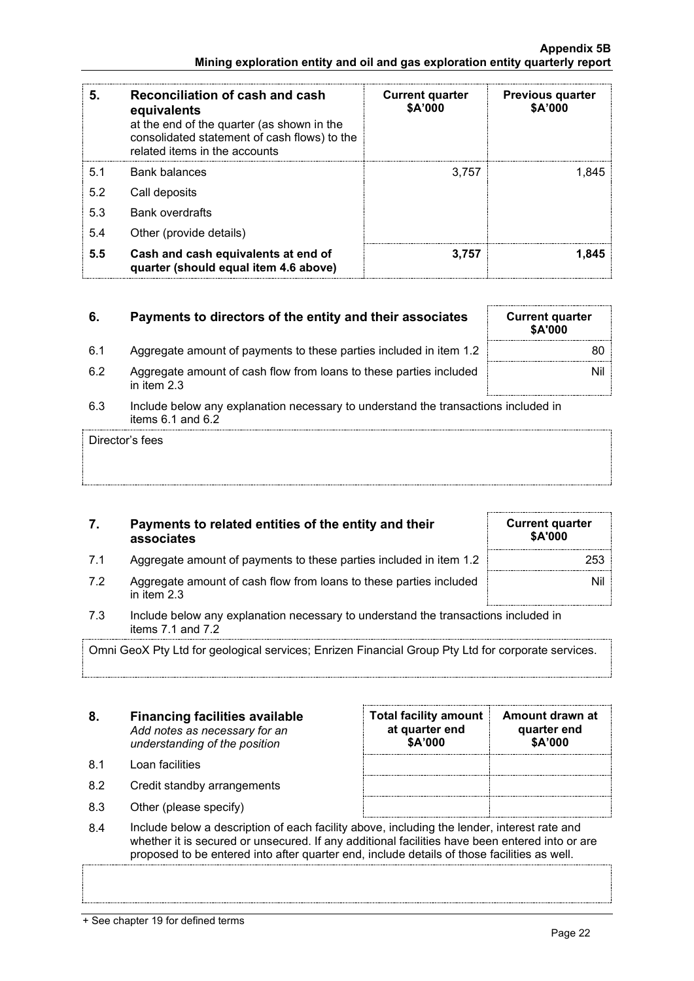|                                                                               |  | <b>Appendix 5B</b> |
|-------------------------------------------------------------------------------|--|--------------------|
| Mining exploration entity and oil and gas exploration entity quarterly report |  |                    |

| 5.  | Reconciliation of cash and cash<br>equivalents<br>at the end of the quarter (as shown in the<br>consolidated statement of cash flows) to the<br>related items in the accounts | <b>Current quarter</b><br>\$A'000 | <b>Previous quarter</b><br>\$A'000 |
|-----|-------------------------------------------------------------------------------------------------------------------------------------------------------------------------------|-----------------------------------|------------------------------------|
| 5.1 | Bank balances                                                                                                                                                                 | 3,757                             | 1.845                              |
| 5.2 | Call deposits                                                                                                                                                                 |                                   |                                    |
| 5.3 | <b>Bank overdrafts</b>                                                                                                                                                        |                                   |                                    |
| 5.4 | Other (provide details)                                                                                                                                                       |                                   |                                    |
| 5.5 | Cash and cash equivalents at end of<br>quarter (should equal item 4.6 above)                                                                                                  | 3,757                             | 1.845                              |

### **6.** Payments to directors of the entity and their associates

- 6.1 Aggregate amount of payments to these parties included in item 1.2
- 6.2 Aggregate amount of cash flow from loans to these parties included in item 2.3
- 6.3 Include below any explanation necessary to understand the transactions included in items 6.1 and 6.2

Director's fees

### **7. Payments to related entities of the entity and their associates**

- 7.1 Aggregate amount of payments to these parties included in item 1.2 **Aggregate 31** 253
- 7.2 Aggregate amount of cash flow from loans to these parties included in item 2.3
- 7.3 Include below any explanation necessary to understand the transactions included in items 7.1 and 7.2

Omni GeoX Pty Ltd for geological services; Enrizen Financial Group Pty Ltd for corporate services.

| 8. | <b>Financing facilities available</b> |
|----|---------------------------------------|
|    | Add notes as necessary for an         |
|    | understanding of the position         |

- 8.1 Loan facilities
- 8.2 Credit standby arrangements
- 8.3 Other (please specify)

| <b>Total facility amount</b><br>at quarter end<br>\$A'000 | Amount drawn at<br>quarter end<br>\$A'000 |
|-----------------------------------------------------------|-------------------------------------------|
|                                                           |                                           |
|                                                           |                                           |
|                                                           |                                           |

8.4 Include below a description of each facility above, including the lender, interest rate and whether it is secured or unsecured. If any additional facilities have been entered into or are proposed to be entered into after quarter end, include details of those facilities as well.

| <b>Current quarter</b><br>\$A'000 |  |  |
|-----------------------------------|--|--|
| 80                                |  |  |
| Nil                               |  |  |
|                                   |  |  |

**Current quarter \$A'000**

Nil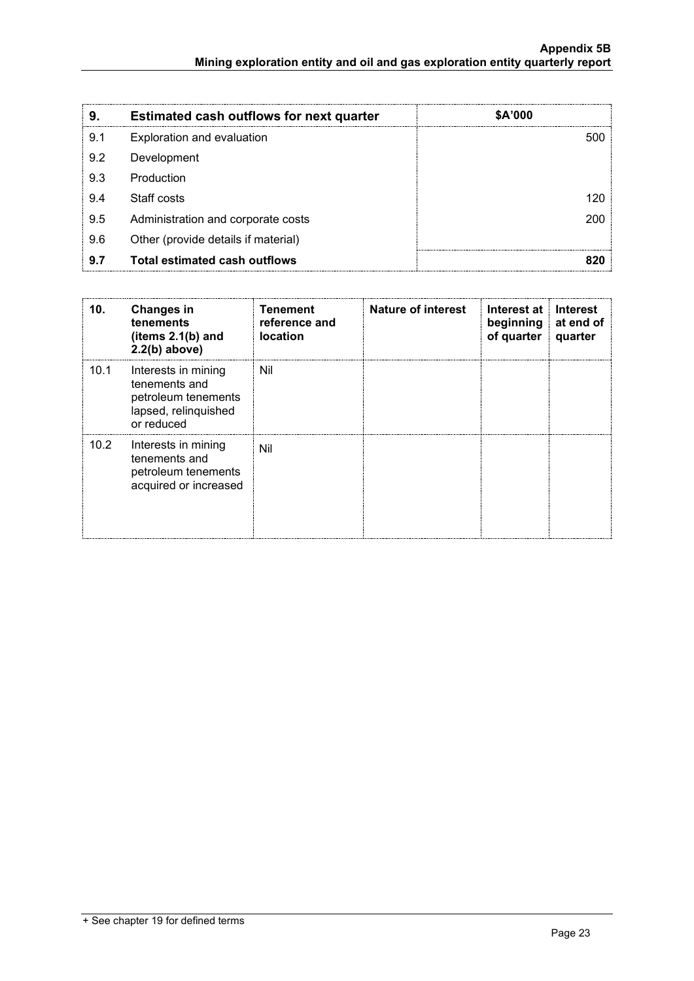| 9.  | <b>Estimated cash outflows for next quarter</b> | \$A'000 |
|-----|-------------------------------------------------|---------|
| 9.1 | Exploration and evaluation                      |         |
| 9.2 | Development                                     |         |
| 9.3 | Production                                      |         |
| 9.4 | Staff costs                                     |         |
| 9.5 | Administration and corporate costs              |         |
| 9.6 | Other (provide details if material)             |         |
| 9.7 | Total estimated cash outflows                   |         |

| 10.  | <b>Changes in</b><br>tenements<br>(items $2.1(b)$ and<br>$2.2(b)$ above)                          | Tenement<br>reference and<br><b>location</b> | <b>Nature of interest</b> | Interest at<br>beginning at end of<br>of quarter | <b>Interest</b><br>quarter |
|------|---------------------------------------------------------------------------------------------------|----------------------------------------------|---------------------------|--------------------------------------------------|----------------------------|
| 10.1 | Interests in mining<br>tenements and<br>petroleum tenements<br>lapsed, relinquished<br>or reduced | Nil                                          |                           |                                                  |                            |
| 10.2 | Interests in mining<br>tenements and<br>petroleum tenements<br>acquired or increased              | Nil                                          |                           |                                                  |                            |